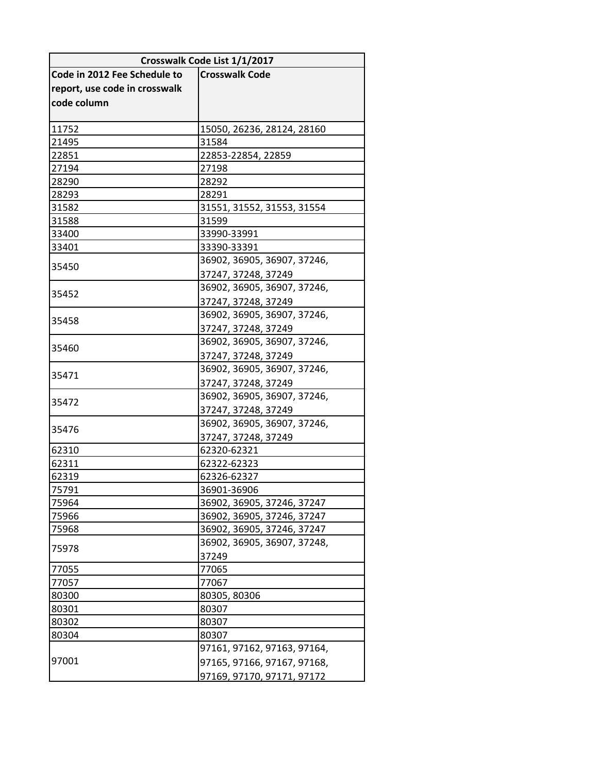| Crosswalk Code List 1/1/2017  |                             |
|-------------------------------|-----------------------------|
| Code in 2012 Fee Schedule to  | <b>Crosswalk Code</b>       |
| report, use code in crosswalk |                             |
| code column                   |                             |
|                               |                             |
| 11752                         | 15050, 26236, 28124, 28160  |
| 21495                         | 31584                       |
| 22851                         | 22853-22854, 22859          |
| 27194                         | 27198                       |
| 28290                         | 28292                       |
| 28293                         | 28291                       |
| 31582                         | 31551, 31552, 31553, 31554  |
| 31588                         | 31599                       |
| 33400                         | 33990-33991                 |
| 33401                         | 33390-33391                 |
| 35450                         | 36902, 36905, 36907, 37246, |
|                               | 37247, 37248, 37249         |
| 35452                         | 36902, 36905, 36907, 37246, |
|                               | 37247, 37248, 37249         |
| 35458                         | 36902, 36905, 36907, 37246, |
|                               | 37247, 37248, 37249         |
| 35460                         | 36902, 36905, 36907, 37246, |
|                               | 37247, 37248, 37249         |
| 35471                         | 36902, 36905, 36907, 37246, |
|                               | 37247, 37248, 37249         |
| 35472                         | 36902, 36905, 36907, 37246, |
|                               | 37247, 37248, 37249         |
| 35476                         | 36902, 36905, 36907, 37246, |
|                               | 37247, 37248, 37249         |
| 62310                         | 62320-62321                 |
| 62311                         | 62322-62323                 |
| 62319                         | 62326-62327                 |
| 75791                         | 36901-36906                 |
| 75964                         | 36902, 36905, 37246, 37247  |
| 75966                         | 36902, 36905, 37246, 37247  |
| 75968                         | 36902, 36905, 37246, 37247  |
| 75978                         | 36902, 36905, 36907, 37248, |
|                               | 37249                       |
| 77055                         | 77065                       |
| 77057                         | 77067                       |
| 80300                         | 80305, 80306                |
| 80301                         | 80307                       |
| 80302                         | 80307                       |
| 80304                         | 80307                       |
| 97001                         | 97161, 97162, 97163, 97164, |
|                               | 97165, 97166, 97167, 97168, |
|                               | 97169, 97170, 97171, 97172  |